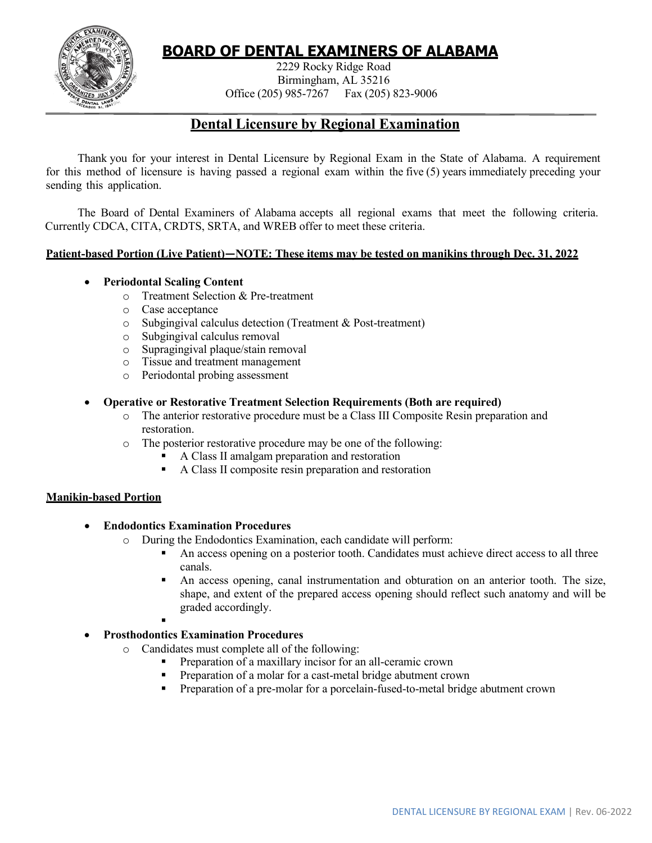

# **BOARD OF DENTAL EXAMINERS OF ALABAMA**

2229 Rocky Ridge Road Birmingham, AL 35216 Office (205) 985-7267 Fax (205) 823-9006

## **Dental Licensure by Regional Examination**

Thank you for your interest in Dental Licensure by Regional Exam in the State of Alabama. A requirement for this method of licensure is having passed a regional exam within the five (5) years immediately preceding your sending this application.

The Board of Dental Examiners of Alabama accepts all regional exams that meet the following criteria. Currently CDCA, CITA, CRDTS, SRTA, and WREB offer to meet these criteria.

### **Patient-based Portion (Live Patient)—NOTE: These items may be tested on manikins through Dec. 31, 2022**

### • **Periodontal Scaling Content**

- o Treatment Selection & Pre-treatment
- o Case acceptance
- o Subgingival calculus detection (Treatment & Post-treatment)
- o Subgingival calculus removal
- o Supragingival plaque/stain removal
- o Tissue and treatment management
- o Periodontal probing assessment

#### • **Operative or Restorative Treatment Selection Requirements (Both are required)**

- o The anterior restorative procedure must be a Class III Composite Resin preparation and restoration.
- o The posterior restorative procedure may be one of the following:
	- A Class II amalgam preparation and restoration
	- A Class II composite resin preparation and restoration

### **Manikin-based Portion**

### • **Endodontics Examination Procedures**

- o During the Endodontics Examination, each candidate will perform:
	- An access opening on a posterior tooth. Candidates must achieve direct access to all three canals.
	- An access opening, canal instrumentation and obturation on an anterior tooth. The size, shape, and extent of the prepared access opening should reflect such anatomy and will be graded accordingly.
	- .

## • **Prosthodontics Examination Procedures**

- o Candidates must complete all of the following:
	- Preparation of a maxillary incisor for an all-ceramic crown
	- **Preparation of a molar for a cast-metal bridge abutment crown**
	- **Preparation of a pre-molar for a porcelain-fused-to-metal bridge abutment crown**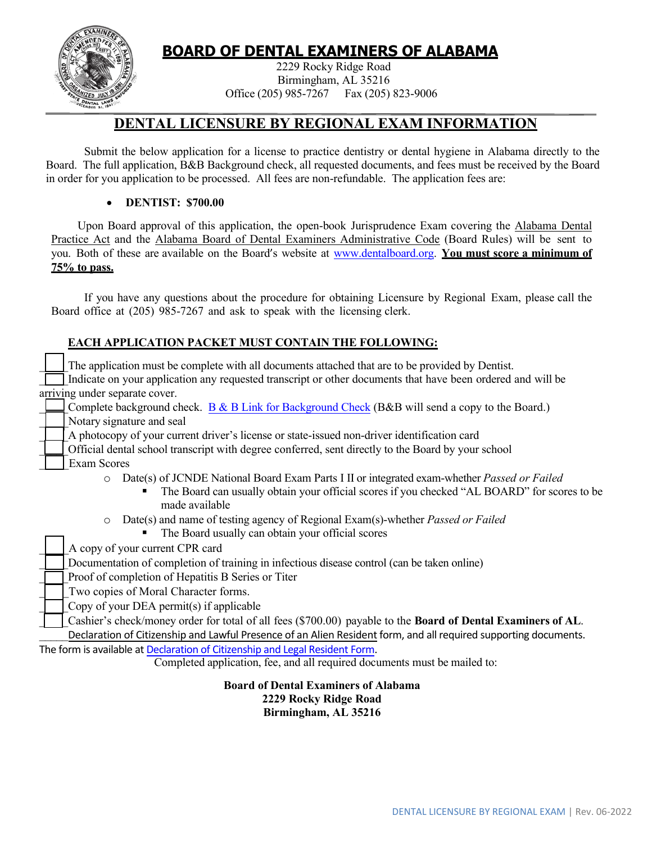

# **BOARD OF DENTAL EXAMINERS OF ALABAMA**

2229 Rocky Ridge Road Birmingham, AL 35216 Office (205) 985-7267 Fax (205) 823-9006

# **DENTAL LICENSURE BY REGIONAL EXAM INFORMATION**

Submit the below application for a license to practice dentistry or dental hygiene in Alabama directly to the Board. The full application, B&B Background check, all requested documents, and fees must be received by the Board in order for you application to be processed. All fees are non-refundable. The application fees are:

## • **DENTIST: \$700.00**

Upon Board approval of this application, the open-book Jurisprudence Exam covering the Alabama Dental Practice Act and the Alabama Board of Dental Examiners Administrative Code (Board Rules) will be sent to you. Both of these are available on the Board's website at [www.dentalboard.org.](http://www.dentalboard.org/) **You must score a minimum of 75% to pass.**

If you have any questions about the procedure for obtaining Licensure by Regional Exam, please call the Board office at (205) 985-7267 and ask to speak with the licensing clerk.

## **EACH APPLICATION PACKET MUST CONTAIN THE FOLLOWING:**

| The application must be complete with all documents attached that are to be provided by Dentist.                 |
|------------------------------------------------------------------------------------------------------------------|
| Indicate on your application any requested transcript or other documents that have been ordered and will be      |
| arriving under separate cover.                                                                                   |
| Complete background check. B & B Link for Background Check (B&B will send a copy to the Board.)                  |
| Notary signature and seal                                                                                        |
| A photocopy of your current driver's license or state-issued non-driver identification card                      |
| Official dental school transcript with degree conferred, sent directly to the Board by your school               |
| <b>Exam Scores</b>                                                                                               |
| Date(s) of JCNDE National Board Exam Parts I II or integrated exam-whether <i>Passed or Failed</i><br>$\circ$    |
| The Board can usually obtain your official scores if you checked "AL BOARD" for scores to be<br>made available   |
| Date(s) and name of testing agency of Regional Exam(s)-whether <i>Passed or Failed</i><br>$\circ$                |
| The Board usually can obtain your official scores                                                                |
| A copy of your current CPR card                                                                                  |
| Documentation of completion of training in infectious disease control (can be taken online)                      |
| Proof of completion of Hepatitis B Series or Titer                                                               |
| Two copies of Moral Character forms.                                                                             |
| Copy of your DEA permit(s) if applicable                                                                         |
| Cashier's check/money order for total of all fees (\$700.00) payable to the Board of Dental Examiners of AL.     |
| Declaration of Citizenship and Lawful Presence of an Alien Resident form, and all required supporting documents. |
| The form is available at Declaration of Citizenship and Legal Resident Form.                                     |
| Completed application, fee, and all required documents must be mailed to:                                        |

**Board of Dental Examiners of Alabama 2229 Rocky Ridge Road Birmingham, AL 35216**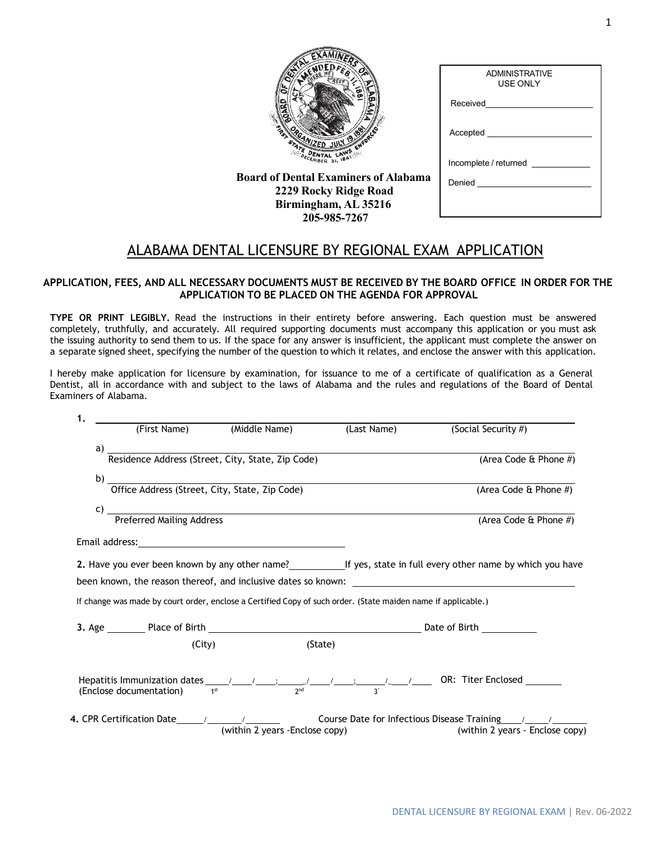|       |                                                           | <b>RES</b>   |  |
|-------|-----------------------------------------------------------|--------------|--|
| TAN A | <b>PGAN</b><br>STATE D<br><b><i>DECEMBER</i></b> BI, 1841 | AWS ENFORCED |  |

**Board of Dental Examiners of Alabama 2229 Rocky Ridge Road Birmingham, AL 35216 205-985-7267**

| <b>ADMINISTRATIVE</b><br><b>USE ONLY</b> |
|------------------------------------------|
| Received <u>________</u>                 |
| Accepted                                 |
| Incomplete / returned                    |
| Denied _______________________           |
|                                          |
|                                          |

## ALABAMA DENTAL LICENSURE BY REGIONAL EXAM APPLICATION

#### **APPLICATION, FEES, AND ALL NECESSARY DOCUMENTS MUST BE RECEIVED BY THE BOARD OFFICE IN ORDER FOR THE APPLICATION TO BE PLACED ON THE AGENDA FOR APPROVAL**

**TYPE OR PRINT LEGIBLY.** Read the instructions in their entirety before answering. Each question must be answered completely, truthfully, and accurately. All required supporting documents must accompany this application or you must ask the issuing authority to send them to us. If the space for any answer is insufficient, the applicant must complete the answer on a separate signed sheet, specifying the number of the question to which it relates, and enclose the answer with this application.

I hereby make application for licensure by examination, for issuance to me of a certificate of qualification as a General Dentist, all in accordance with and subject to the laws of Alabama and the rules and regulations of the Board of Dental Examiners of Alabama.

| 1. |        |                                                                                                               |             |                                                                                                                                                 |
|----|--------|---------------------------------------------------------------------------------------------------------------|-------------|-------------------------------------------------------------------------------------------------------------------------------------------------|
|    |        | (First Name) (Middle Name)                                                                                    | (Last Name) | (Social Security #)                                                                                                                             |
| a) |        | Residence Address (Street, City, State, Zip Code)                                                             |             |                                                                                                                                                 |
|    |        |                                                                                                               |             | (Area Code & Phone #)                                                                                                                           |
|    |        | b) Toffice Address (Street, City, State, Zip Code)                                                            |             |                                                                                                                                                 |
|    |        |                                                                                                               |             | (Area Code & Phone #)                                                                                                                           |
|    |        | c) Preferred Mailing Address                                                                                  |             | (Area Code & Phone #)                                                                                                                           |
|    |        |                                                                                                               |             |                                                                                                                                                 |
|    |        |                                                                                                               |             | 2. Have you ever been known by any other name?___________________________________ If yes, state in full every other name by which you have      |
|    |        |                                                                                                               |             |                                                                                                                                                 |
|    |        |                                                                                                               |             |                                                                                                                                                 |
|    |        | If change was made by court order, enclose a Certified Copy of such order. (State maiden name if applicable.) |             |                                                                                                                                                 |
|    |        |                                                                                                               |             |                                                                                                                                                 |
|    | (City) |                                                                                                               | (State)     |                                                                                                                                                 |
|    |        |                                                                                                               |             |                                                                                                                                                 |
|    |        | (within 2 years - Enclose copy)                                                                               |             | 4. CPR Certification Date $\frac{1}{2}$ / $\frac{1}{2}$ Course Date for Infectious Disease Training 1. 1. 1.<br>(within 2 years - Enclose copy) |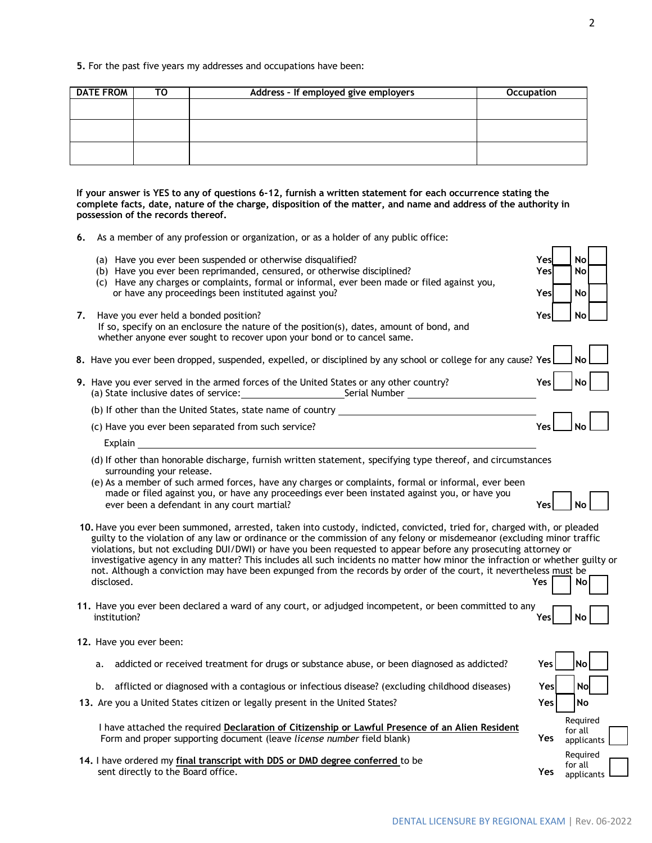**5.** For the past five years my addresses and occupations have been:

| <b>DATE FROM</b> | TO | Address - If employed give employers | <b>Occupation</b> |
|------------------|----|--------------------------------------|-------------------|
|                  |    |                                      |                   |
|                  |    |                                      |                   |
|                  |    |                                      |                   |
|                  |    |                                      |                   |
|                  |    |                                      |                   |

**If your answer is YES to any of questions 6-12, furnish a written statement for each occurrence stating the complete facts, date, nature of the charge, disposition of the matter, and name and address of the authority in possession of the records thereof.**

- **6.** As a member of any profession or organization, or as a holder of any public office:
	- (a) Have you ever been suspended or otherwise disqualified? **Yes No**
	- (b) Have you ever been reprimanded, censured, or otherwise disciplined? **Yes No**
	- (c) Have any charges or complaints, formal or informal, ever been made or filed against you, or have any proceedings been instituted against you? **Yes No**
- **7.** Have you ever held a bonded position? **Yes No** If so, specify on an enclosure the nature of the position(s), dates, amount of bond, and whether anyone ever sought to recover upon your bond or to cancel same.
- **8.** Have you ever been dropped, suspended, expelled, or disciplined by any school or college for any cause? **Yes No**
- **9.** Have you ever served in the armed forces of the United States or any other country? **Yes Yes No** (a) State inclusive dates of service: Serial Number
	- (b) If other than the United States, state name of country
	- (c) Have you ever been separated from such service?

Explain

- (d) If other than honorable discharge, furnish written statement, specifying type thereof, and circumstances surrounding your release.
- (e) As a member of such armed forces, have any charges or complaints, formal or informal, ever been made or filed against you, or have any proceedings ever been instated against you, or have you ever been a defendant in any court martial? **Yes No**
- **10.** Have you ever been summoned, arrested, taken into custody, indicted, convicted, tried for, charged with, or pleaded guilty to the violation of any law or ordinance or the commission of any felony or misdemeanor (excluding minor traffic violations, but not excluding DUI/DWI) or have you been requested to appear before any prosecuting attorney or investigative agency in any matter? This includes all such incidents no matter how minor the infraction or whether guilty or not. Although a conviction may have been expunged from the records by order of the court, it nevertheless must be disclosed. **Yes No. 2006. In the set of the set of the set of the set of the set of the set of the set of the set of the set of the set of the set of the set of the set of the set of the set of the set of the set of the se**
- **11.** Have you ever been declared a ward of any court, or adjudged incompetent, or been committed to any institution? **Yes No**
- **12.** Have you ever been:
	- a. addicted or received treatment for drugs or substance abuse, or been diagnosed as addicted?
	- b. afflicted or diagnosed with a contagious or infectious disease? (excluding childhood diseases)
- 13. Are you a United States citizen or legally present in the United States?

I have attached the required **Declaration of Citizenship or Lawful Presence of an Alien Resident** Form and proper supporting document (leave *license number* field blank)

**14.** I have ordered my **final transcript with DDS or DMD degree conferred** to be sent directly to the Board office.

| Yes | No                                |
|-----|-----------------------------------|
| Yes | No                                |
| Yes | No                                |
| Yes | Required<br>for all<br>applicants |
| Yes | Required<br>for all<br>applicants |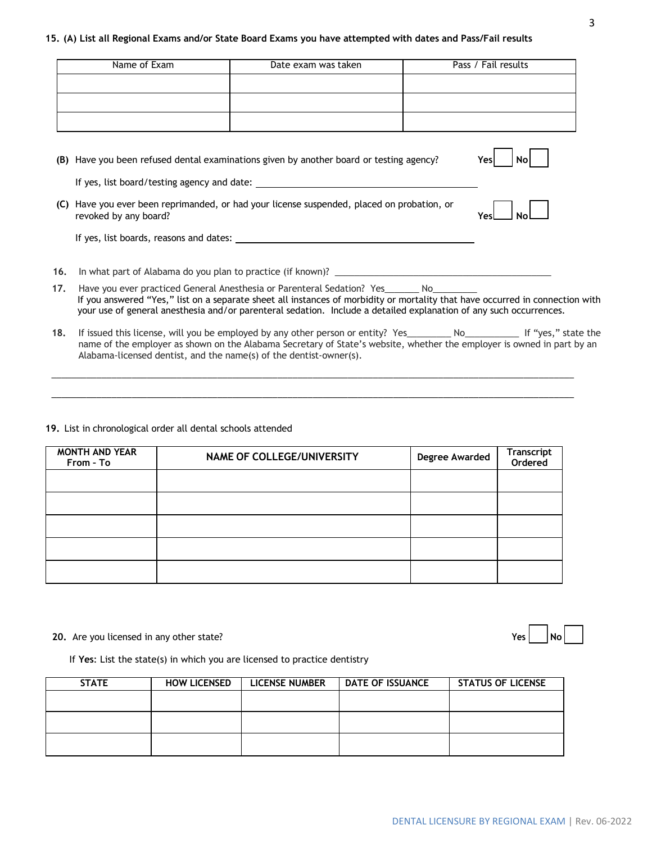#### **15. (A) List all Regional Exams and/or State Board Exams you have attempted with dates and Pass/Fail results**

|     | Name of Exam                                                       | Date exam was taken                                                                                                                                                                                                                                                                                                                               | Pass / Fail results |
|-----|--------------------------------------------------------------------|---------------------------------------------------------------------------------------------------------------------------------------------------------------------------------------------------------------------------------------------------------------------------------------------------------------------------------------------------|---------------------|
|     |                                                                    |                                                                                                                                                                                                                                                                                                                                                   |                     |
|     |                                                                    |                                                                                                                                                                                                                                                                                                                                                   |                     |
|     |                                                                    |                                                                                                                                                                                                                                                                                                                                                   |                     |
|     |                                                                    | (B) Have you been refused dental examinations given by another board or testing agency?                                                                                                                                                                                                                                                           | Yes<br>Nο           |
|     |                                                                    |                                                                                                                                                                                                                                                                                                                                                   |                     |
|     | revoked by any board?                                              | (C) Have you ever been reprimanded, or had your license suspended, placed on probation, or                                                                                                                                                                                                                                                        |                     |
|     |                                                                    |                                                                                                                                                                                                                                                                                                                                                   |                     |
| 16. |                                                                    |                                                                                                                                                                                                                                                                                                                                                   |                     |
| 17. |                                                                    | Have you ever practiced General Anesthesia or Parenteral Sedation? Yes________ No_________<br>If you answered "Yes," list on a separate sheet all instances of morbidity or mortality that have occurred in connection with<br>your use of general anesthesia and/or parenteral sedation. Include a detailed explanation of any such occurrences. |                     |
| 18. | Alabama-licensed dentist, and the name(s) of the dentist-owner(s). | If issued this license, will you be employed by any other person or entity? Yes___________ No______________ If "yes," state the<br>name of the employer as shown on the Alabama Secretary of State's website, whether the employer is owned in part by an                                                                                         |                     |

#### **19.** List in chronological order all dental schools attended

| <b>MONTH AND YEAR</b><br>From - To | NAME OF COLLEGE/UNIVERSITY | Degree Awarded | Transcript<br>Ordered |
|------------------------------------|----------------------------|----------------|-----------------------|
|                                    |                            |                |                       |
|                                    |                            |                |                       |
|                                    |                            |                |                       |
|                                    |                            |                |                       |
|                                    |                            |                |                       |

\_\_\_\_\_\_\_\_\_\_\_\_\_\_\_\_\_\_\_\_\_\_\_\_\_\_\_\_\_\_\_\_\_\_\_\_\_\_\_\_\_\_\_\_\_\_\_\_\_\_\_\_\_\_\_\_\_\_\_\_\_\_\_\_\_\_\_\_\_\_\_\_\_\_\_\_\_\_\_\_\_\_\_\_\_\_\_\_\_\_\_\_\_\_\_\_\_\_\_\_\_\_\_\_ \_\_\_\_\_\_\_\_\_\_\_\_\_\_\_\_\_\_\_\_\_\_\_\_\_\_\_\_\_\_\_\_\_\_\_\_\_\_\_\_\_\_\_\_\_\_\_\_\_\_\_\_\_\_\_\_\_\_\_\_\_\_\_\_\_\_\_\_\_\_\_\_\_\_\_\_\_\_\_\_\_\_\_\_\_\_\_\_\_\_\_\_\_\_\_\_\_\_\_\_\_\_\_\_

#### **20.** Are you licensed in any other state?

| æ<br>-- | NO. |  |
|---------|-----|--|

If **Yes**: List the state(s) in which you are licensed to practice dentistry

| <b>STATE</b> | <b>HOW LICENSED</b> | <b>LICENSE NUMBER</b> | <b>DATE OF ISSUANCE</b> | <b>STATUS OF LICENSE</b> |
|--------------|---------------------|-----------------------|-------------------------|--------------------------|
|              |                     |                       |                         |                          |
|              |                     |                       |                         |                          |
|              |                     |                       |                         |                          |
|              |                     |                       |                         |                          |
|              |                     |                       |                         |                          |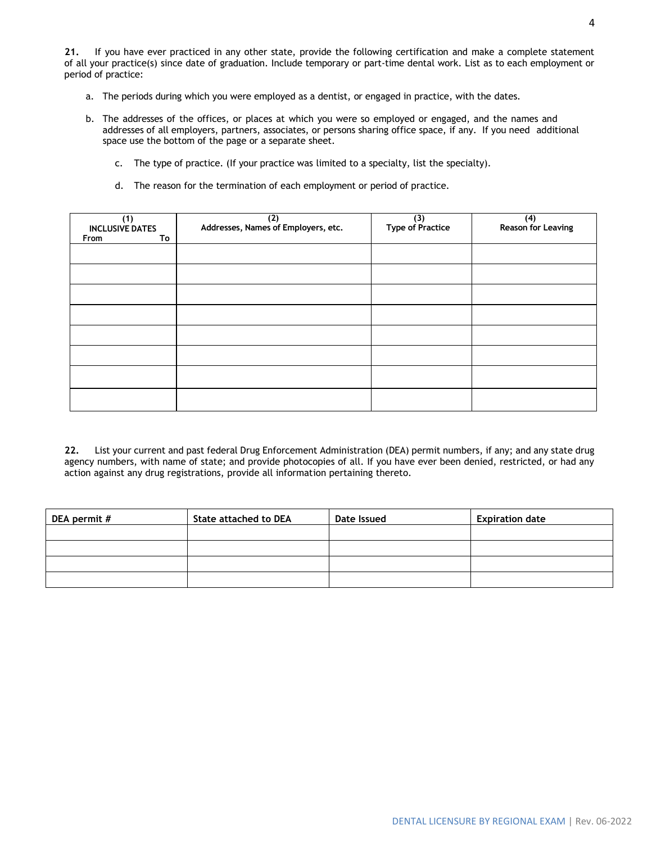**21.** If you have ever practiced in any other state, provide the following certification and make a complete statement of all your practice(s) since date of graduation. Include temporary or part-time dental work. List as to each employment or period of practice:

- a. The periods during which you were employed as a dentist, or engaged in practice, with the dates.
- b. The addresses of the offices, or places at which you were so employed or engaged, and the names and addresses of all employers, partners, associates, or persons sharing office space, if any. If you need additional space use the bottom of the page or a separate sheet.
	- c. The type of practice. (If your practice was limited to a specialty, list the specialty).
	- d. The reason for the termination of each employment or period of practice.

| (1)<br><b>INCLUSIVE DATES</b> | (2)<br>Addresses, Names of Employers, etc. | $(3)$<br>Type of Practice | (4)<br>Reason for Leaving |
|-------------------------------|--------------------------------------------|---------------------------|---------------------------|
| From<br>To                    |                                            |                           |                           |
|                               |                                            |                           |                           |
|                               |                                            |                           |                           |
|                               |                                            |                           |                           |
|                               |                                            |                           |                           |
|                               |                                            |                           |                           |
|                               |                                            |                           |                           |
|                               |                                            |                           |                           |
|                               |                                            |                           |                           |

**22.** List your current and past federal Drug Enforcement Administration (DEA) permit numbers, if any; and any state drug agency numbers, with name of state; and provide photocopies of all. If you have ever been denied, restricted, or had any action against any drug registrations, provide all information pertaining thereto.

| DEA permit # | <b>State attached to DEA</b> | Date Issued | <b>Expiration date</b> |
|--------------|------------------------------|-------------|------------------------|
|              |                              |             |                        |
|              |                              |             |                        |
|              |                              |             |                        |
|              |                              |             |                        |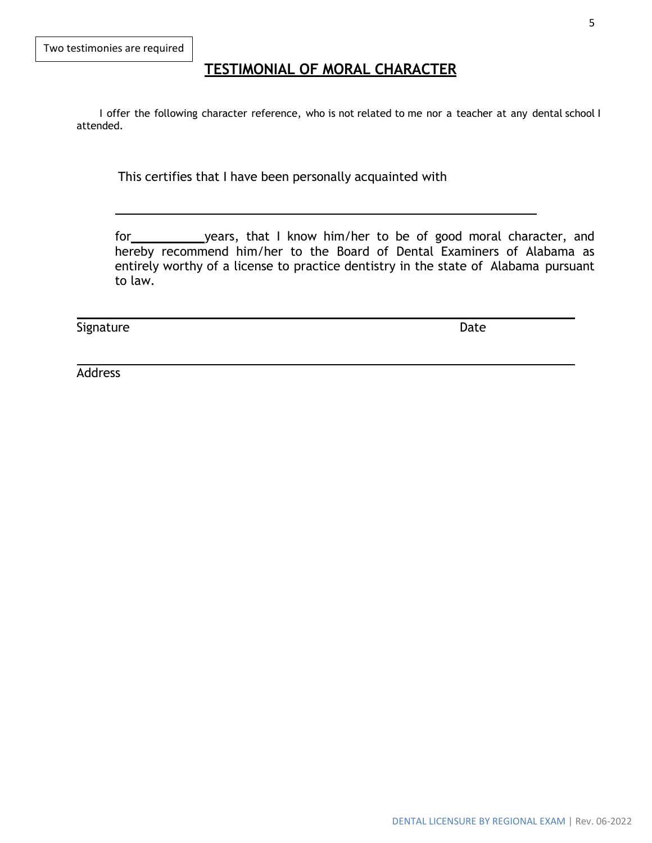# **TESTIMONIAL OF MORAL CHARACTER**

I offer the following character reference, who is not related to me nor a teacher at any dental school I attended.

This certifies that I have been personally acquainted with

for years, that I know him/her to be of good moral character, and hereby recommend him/her to the Board of Dental Examiners of Alabama as entirely worthy of a license to practice dentistry in the state of Alabama pursuant to law.

Signature Date

Address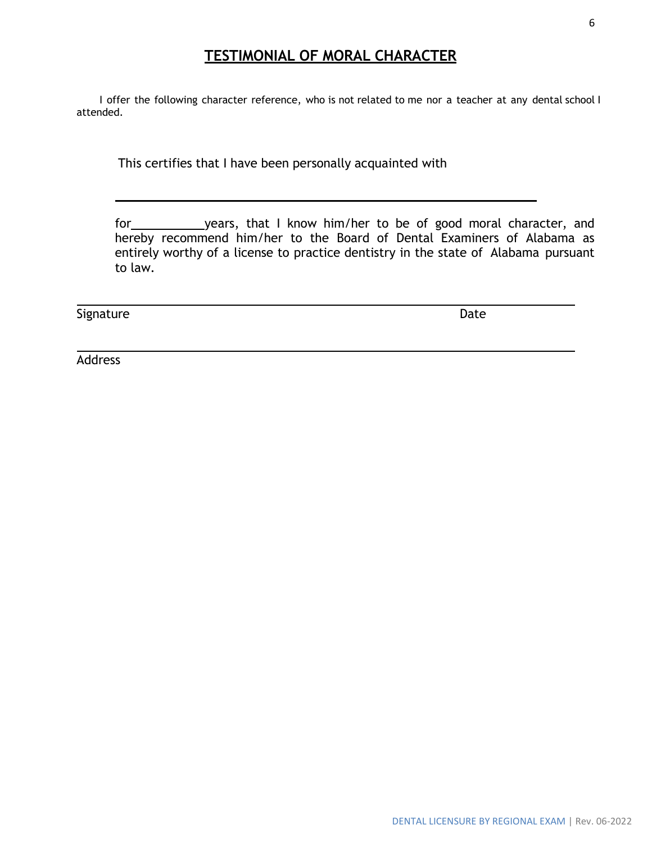# **TESTIMONIAL OF MORAL CHARACTER**

I offer the following character reference, who is not related to me nor a teacher at any dental school I attended.

This certifies that I have been personally acquainted with

for vears, that I know him/her to be of good moral character, and hereby recommend him/her to the Board of Dental Examiners of Alabama as entirely worthy of a license to practice dentistry in the state of Alabama pursuant to law.

Signature Date

Address